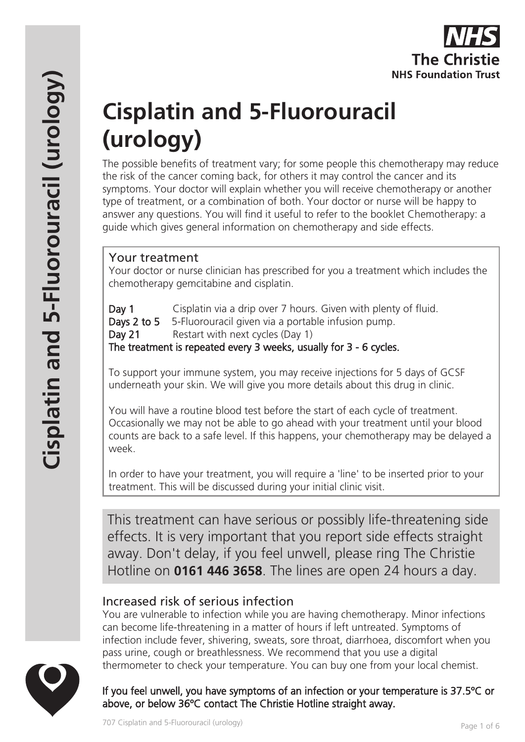

# **Cisplatin and 5-Fluorouracil (urology)**

The possible benefits of treatment vary; for some people this chemotherapy may reduce the risk of the cancer coming back, for others it may control the cancer and its symptoms. Your doctor will explain whether you will receive chemotherapy or another type of treatment, or a combination of both. Your doctor or nurse will be happy to answer any questions. You will find it useful to refer to the booklet Chemotherapy: a guide which gives general information on chemotherapy and side effects.

# Your treatment

Your doctor or nurse clinician has prescribed for you a treatment which includes the chemotherapy gemcitabine and cisplatin.

Day 1 Cisplatin via a drip over 7 hours. Given with plenty of fluid. Days 2 to 5 5-Fluorouracil given via a portable infusion pump. Day 21 Restart with next cycles (Day 1) The treatment is repeated every 3 weeks, usually for 3 - 6 cycles.

To support your immune system, you may receive injections for 5 days of GCSF underneath your skin. We will give you more details about this drug in clinic.

You will have a routine blood test before the start of each cycle of treatment. Occasionally we may not be able to go ahead with your treatment until your blood counts are back to a safe level. If this happens, your chemotherapy may be delayed a week.

In order to have your treatment, you will require a 'line' to be inserted prior to your treatment. This will be discussed during your initial clinic visit.

This treatment can have serious or possibly life-threatening side effects. It is very important that you report side effects straight away. Don't delay, if you feel unwell, please ring The Christie Hotline on **0161 446 3658**. The lines are open 24 hours a day.

# Increased risk of serious infection

You are vulnerable to infection while you are having chemotherapy. Minor infections can become life-threatening in a matter of hours if left untreated. Symptoms of infection include fever, shivering, sweats, sore throat, diarrhoea, discomfort when you pass urine, cough or breathlessness. We recommend that you use a digital thermometer to check your temperature. You can buy one from your local chemist.

If you feel unwell, you have symptoms of an infection or your temperature is 37.5ºC or above, or below 36ºC contact The Christie Hotline straight away.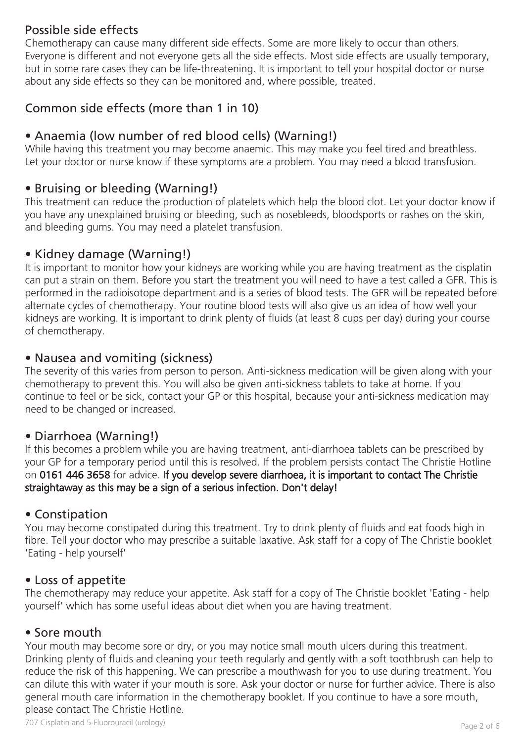# Possible side effects

Chemotherapy can cause many different side effects. Some are more likely to occur than others. Everyone is different and not everyone gets all the side effects. Most side effects are usually temporary, but in some rare cases they can be life-threatening. It is important to tell your hospital doctor or nurse about any side effects so they can be monitored and, where possible, treated.

# Common side effects (more than 1 in 10)

# • Anaemia (low number of red blood cells) (Warning!)

While having this treatment you may become anaemic. This may make you feel tired and breathless. Let your doctor or nurse know if these symptoms are a problem. You may need a blood transfusion.

### • Bruising or bleeding (Warning!)

This treatment can reduce the production of platelets which help the blood clot. Let your doctor know if you have any unexplained bruising or bleeding, such as nosebleeds, bloodsports or rashes on the skin, and bleeding gums. You may need a platelet transfusion.

### • Kidney damage (Warning!)

It is important to monitor how your kidneys are working while you are having treatment as the cisplatin can put a strain on them. Before you start the treatment you will need to have a test called a GFR. This is performed in the radioisotope department and is a series of blood tests. The GFR will be repeated before alternate cycles of chemotherapy. Your routine blood tests will also give us an idea of how well your kidneys are working. It is important to drink plenty of fluids (at least 8 cups per day) during your course of chemotherapy.

# • Nausea and vomiting (sickness)

The severity of this varies from person to person. Anti-sickness medication will be given along with your chemotherapy to prevent this. You will also be given anti-sickness tablets to take at home. If you continue to feel or be sick, contact your GP or this hospital, because your anti-sickness medication may need to be changed or increased.

# • Diarrhoea (Warning!)

If this becomes a problem while you are having treatment, anti-diarrhoea tablets can be prescribed by your GP for a temporary period until this is resolved. If the problem persists contact The Christie Hotline on 0161 446 3658 for advice. If you develop severe diarrhoea, it is important to contact The Christie straightaway as this may be a sign of a serious infection. Don't delay!

#### • Constipation

You may become constipated during this treatment. Try to drink plenty of fluids and eat foods high in fibre. Tell your doctor who may prescribe a suitable laxative. Ask staff for a copy of The Christie booklet 'Eating - help yourself'

#### • Loss of appetite

The chemotherapy may reduce your appetite. Ask staff for a copy of The Christie booklet 'Eating - help yourself' which has some useful ideas about diet when you are having treatment.

#### • Sore mouth

Your mouth may become sore or dry, or you may notice small mouth ulcers during this treatment. Drinking plenty of fluids and cleaning your teeth regularly and gently with a soft toothbrush can help to reduce the risk of this happening. We can prescribe a mouthwash for you to use during treatment. You can dilute this with water if your mouth is sore. Ask your doctor or nurse for further advice. There is also general mouth care information in the chemotherapy booklet. If you continue to have a sore mouth, please contact The Christie Hotline.

707 Cisplatin and 5-Fluorouracil (urology) Page 2 of 6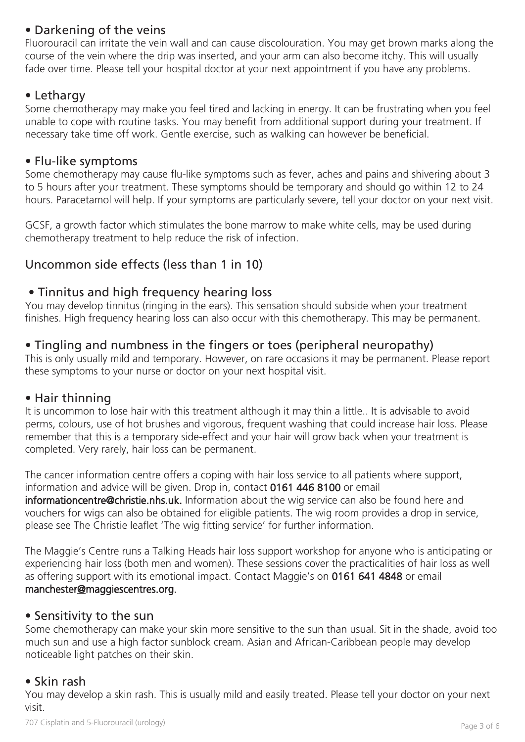# • Darkening of the veins

Fluorouracil can irritate the vein wall and can cause discolouration. You may get brown marks along the course of the vein where the drip was inserted, and your arm can also become itchy. This will usually fade over time. Please tell your hospital doctor at your next appointment if you have any problems.

#### • Lethargy

Some chemotherapy may make you feel tired and lacking in energy. It can be frustrating when you feel unable to cope with routine tasks. You may benefit from additional support during your treatment. If necessary take time off work. Gentle exercise, such as walking can however be beneficial.

#### • Flu-like symptoms

Some chemotherapy may cause flu-like symptoms such as fever, aches and pains and shivering about 3 to 5 hours after your treatment. These symptoms should be temporary and should go within 12 to 24 hours. Paracetamol will help. If your symptoms are particularly severe, tell your doctor on your next visit.

GCSF, a growth factor which stimulates the bone marrow to make white cells, may be used during chemotherapy treatment to help reduce the risk of infection.

# Uncommon side effects (less than 1 in 10)

# • Tinnitus and high frequency hearing loss

You may develop tinnitus (ringing in the ears). This sensation should subside when your treatment finishes. High frequency hearing loss can also occur with this chemotherapy. This may be permanent.

# • Tingling and numbness in the fingers or toes (peripheral neuropathy)

This is only usually mild and temporary. However, on rare occasions it may be permanent. Please report these symptoms to your nurse or doctor on your next hospital visit.

#### • Hair thinning

It is uncommon to lose hair with this treatment although it may thin a little.. It is advisable to avoid perms, colours, use of hot brushes and vigorous, frequent washing that could increase hair loss. Please remember that this is a temporary side-effect and your hair will grow back when your treatment is completed. Very rarely, hair loss can be permanent.

The cancer information centre offers a coping with hair loss service to all patients where support, information and advice will be given. Drop in, contact 0161 446 8100 or email informationcentre@christie.nhs.uk. Information about the wig service can also be found here and vouchers for wigs can also be obtained for eligible patients. The wig room provides a drop in service, please see The Christie leaflet 'The wig fitting service' for further information.

The Maggie's Centre runs a Talking Heads hair loss support workshop for anyone who is anticipating or experiencing hair loss (both men and women). These sessions cover the practicalities of hair loss as well as offering support with its emotional impact. Contact Maggie's on 0161 641 4848 or email manchester@maggiescentres.org.

#### • Sensitivity to the sun

Some chemotherapy can make your skin more sensitive to the sun than usual. Sit in the shade, avoid too much sun and use a high factor sunblock cream. Asian and African-Caribbean people may develop noticeable light patches on their skin.

# • Skin rash

You may develop a skin rash. This is usually mild and easily treated. Please tell your doctor on your next visit.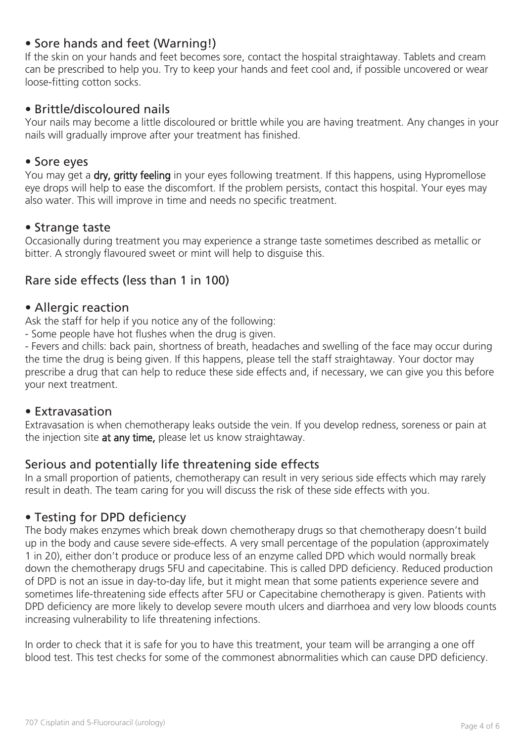### • Sore hands and feet (Warning!)

If the skin on your hands and feet becomes sore, contact the hospital straightaway. Tablets and cream can be prescribed to help you. Try to keep your hands and feet cool and, if possible uncovered or wear loose-fitting cotton socks.

#### • Brittle/discoloured nails

Your nails may become a little discoloured or brittle while you are having treatment. Any changes in your nails will gradually improve after your treatment has finished.

#### • Sore eyes

You may get a dry, gritty feeling in your eyes following treatment. If this happens, using Hypromellose eye drops will help to ease the discomfort. If the problem persists, contact this hospital. Your eyes may also water. This will improve in time and needs no specific treatment.

#### • Strange taste

Occasionally during treatment you may experience a strange taste sometimes described as metallic or bitter. A strongly flavoured sweet or mint will help to disguise this.

#### Rare side effects (less than 1 in 100)

#### • Allergic reaction

Ask the staff for help if you notice any of the following:

- Some people have hot flushes when the drug is given.

- Fevers and chills: back pain, shortness of breath, headaches and swelling of the face may occur during the time the drug is being given. If this happens, please tell the staff straightaway. Your doctor may prescribe a drug that can help to reduce these side effects and, if necessary, we can give you this before your next treatment.

#### • Extravasation

Extravasation is when chemotherapy leaks outside the vein. If you develop redness, soreness or pain at the injection site at any time, please let us know straightaway.

#### Serious and potentially life threatening side effects

In a small proportion of patients, chemotherapy can result in very serious side effects which may rarely result in death. The team caring for you will discuss the risk of these side effects with you.

#### • Testing for DPD deficiency

The body makes enzymes which break down chemotherapy drugs so that chemotherapy doesn't build up in the body and cause severe side-effects. A very small percentage of the population (approximately 1 in 20), either don't produce or produce less of an enzyme called DPD which would normally break down the chemotherapy drugs 5FU and capecitabine. This is called DPD deficiency. Reduced production of DPD is not an issue in day-to-day life, but it might mean that some patients experience severe and sometimes life-threatening side effects after 5FU or Capecitabine chemotherapy is given. Patients with DPD deficiency are more likely to develop severe mouth ulcers and diarrhoea and very low bloods counts increasing vulnerability to life threatening infections.

In order to check that it is safe for you to have this treatment, your team will be arranging a one off blood test. This test checks for some of the commonest abnormalities which can cause DPD deficiency.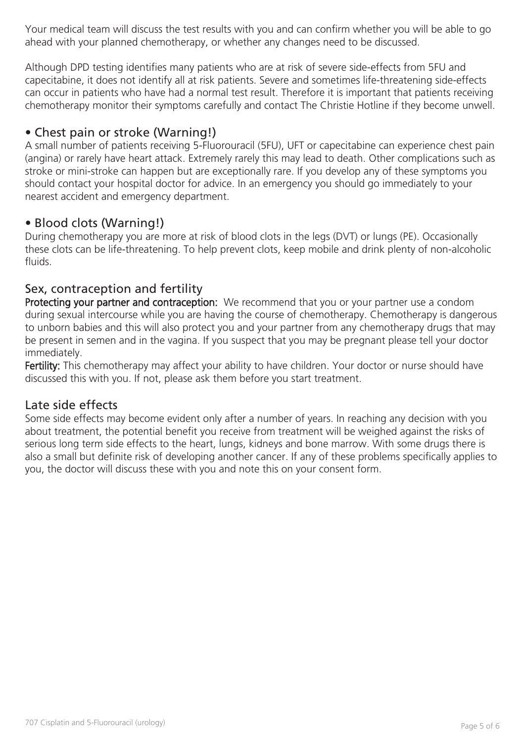Your medical team will discuss the test results with you and can confirm whether you will be able to go ahead with your planned chemotherapy, or whether any changes need to be discussed.

Although DPD testing identifies many patients who are at risk of severe side-effects from 5FU and capecitabine, it does not identify all at risk patients. Severe and sometimes life-threatening side-effects can occur in patients who have had a normal test result. Therefore it is important that patients receiving chemotherapy monitor their symptoms carefully and contact The Christie Hotline if they become unwell.

# • Chest pain or stroke (Warning!)

A small number of patients receiving 5-Fluorouracil (5FU), UFT or capecitabine can experience chest pain (angina) or rarely have heart attack. Extremely rarely this may lead to death. Other complications such as stroke or mini-stroke can happen but are exceptionally rare. If you develop any of these symptoms you should contact your hospital doctor for advice. In an emergency you should go immediately to your nearest accident and emergency department.

# • Blood clots (Warning!)

During chemotherapy you are more at risk of blood clots in the legs (DVT) or lungs (PE). Occasionally these clots can be life-threatening. To help prevent clots, keep mobile and drink plenty of non-alcoholic fluids.

# Sex, contraception and fertility

Protecting your partner and contraception: We recommend that you or your partner use a condom during sexual intercourse while you are having the course of chemotherapy. Chemotherapy is dangerous to unborn babies and this will also protect you and your partner from any chemotherapy drugs that may be present in semen and in the vagina. If you suspect that you may be pregnant please tell your doctor immediately.

Fertility: This chemotherapy may affect your ability to have children. Your doctor or nurse should have discussed this with you. If not, please ask them before you start treatment.

#### Late side effects

Some side effects may become evident only after a number of years. In reaching any decision with you about treatment, the potential benefit you receive from treatment will be weighed against the risks of serious long term side effects to the heart, lungs, kidneys and bone marrow. With some drugs there is also a small but definite risk of developing another cancer. If any of these problems specifically applies to you, the doctor will discuss these with you and note this on your consent form.